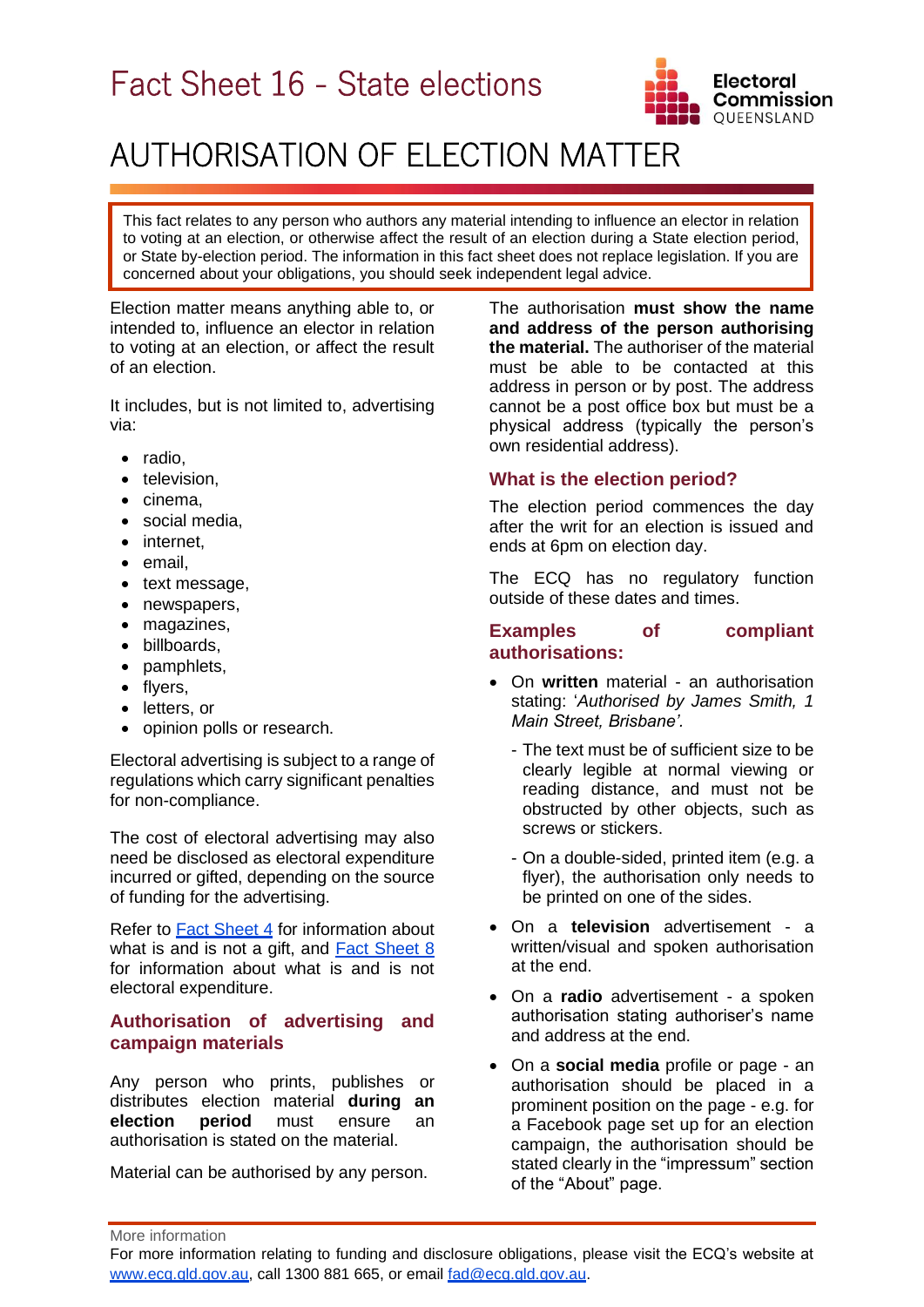# Fact Sheet 16 - State elections



## AUTHORISATION OF ELECTION MATTER

This fact relates to any person who authors any material intending to influence an elector in relation to voting at an election, or otherwise affect the result of an election during a State election period, or State by-election period. The information in this fact sheet does not replace legislation. If you are concerned about your obligations, you should seek independent legal advice.

Election matter means anything able to, or intended to, influence an elector in relation to voting at an election, or affect the result of an election.

It includes, but is not limited to, advertising via:

- radio,
- television,
- cinema,
- social media,
- internet.
- email,
- text message,
- newspapers,
- magazines,
- billboards,
- pamphlets,
- flyers,
- letters, or
- opinion polls or research.

Electoral advertising is subject to a range of regulations which carry significant penalties for non-compliance.

The cost of electoral advertising may also need be disclosed as electoral expenditure incurred or gifted, depending on the source of funding for the advertising.

Refer to [Fact Sheet 4](https://www.ecq.qld.gov.au/election-participants/handbooks,-fact-sheets-and-forms) for information about what is and is not a gift, and [Fact Sheet 8](https://www.ecq.qld.gov.au/election-participants/handbooks,-fact-sheets-and-forms) for information about what is and is not electoral expenditure.

## **Authorisation of advertising and campaign materials**

Any person who prints, publishes or distributes election material **during an election period** must ensure an authorisation is stated on the material.

Material can be authorised by any person.

The authorisation **must show the name and address of the person authorising the material.** The authoriser of the material must be able to be contacted at this address in person or by post. The address cannot be a post office box but must be a physical address (typically the person's own residential address).

## **What is the election period?**

The election period commences the day after the writ for an election is issued and ends at 6pm on election day.

The ECQ has no regulatory function outside of these dates and times.

#### **Examples of compliant authorisations:**

- On **written** material an authorisation stating: '*Authorised by James Smith, 1 Main Street, Brisbane'.*
	- The text must be of sufficient size to be clearly legible at normal viewing or reading distance, and must not be obstructed by other objects, such as screws or stickers.
	- On a double-sided, printed item (e.g. a flyer), the authorisation only needs to be printed on one of the sides.
- On a **television** advertisement a written/visual and spoken authorisation at the end.
- On a **radio** advertisement a spoken authorisation stating authoriser's name and address at the end.
- On a **social media** profile or page an authorisation should be placed in a prominent position on the page - e.g. for a Facebook page set up for an election campaign, the authorisation should be stated clearly in the "impressum" section of the "About" page.

More information

For more information relating to funding and disclosure obligations, please visit the ECQ's website at [www.ecq.qld.gov.au,](http://www.ecq.qld.gov.au/) call 1300 881 665, or email [fad@ecq.qld.gov.au.](mailto:fad@ecq.qld.gov.au)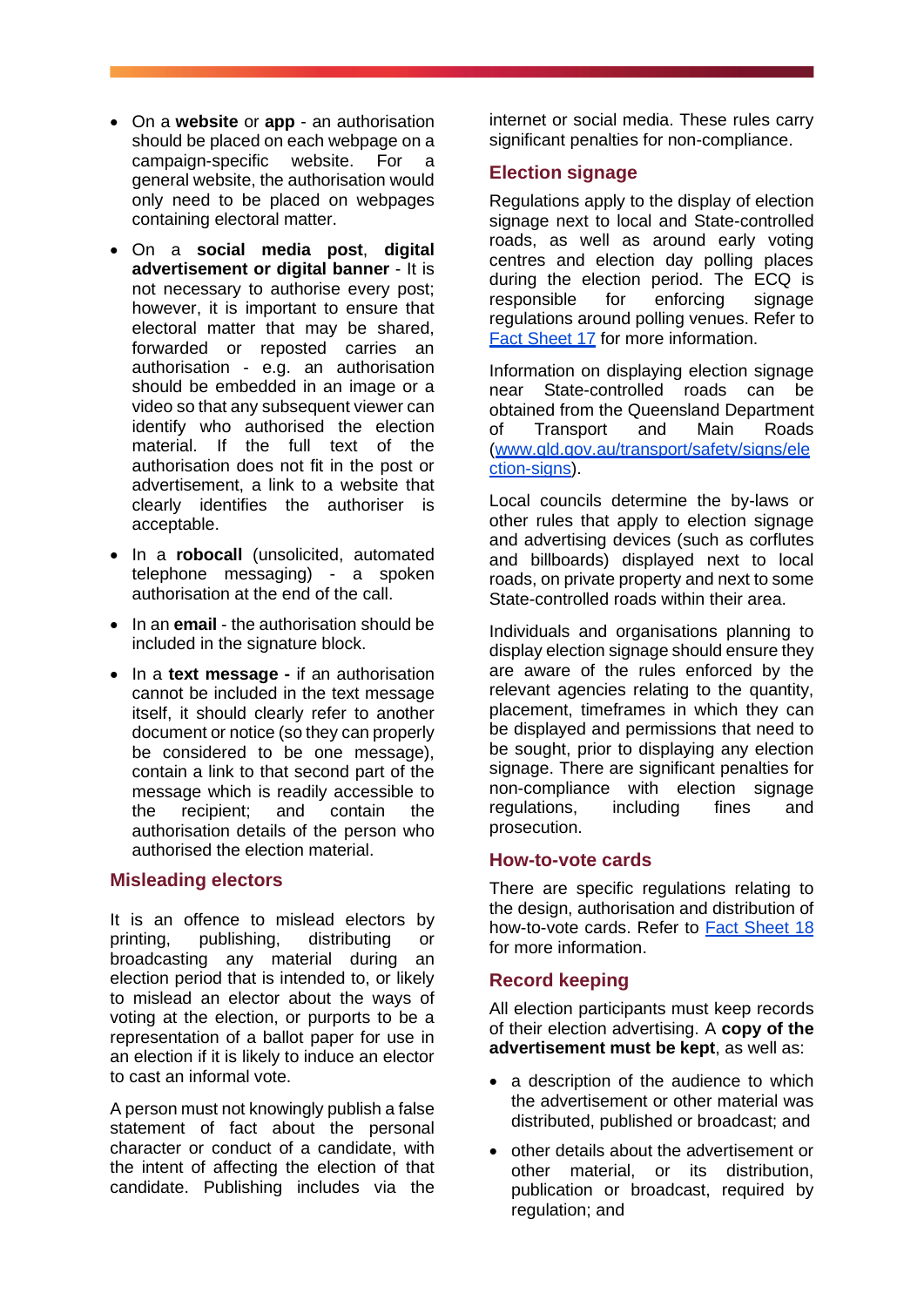- On a **website** or **app** an authorisation should be placed on each webpage on a campaign-specific website. For a general website, the authorisation would only need to be placed on webpages containing electoral matter.
- On a **social media post**, **digital advertisement or digital banner** - It is not necessary to authorise every post; however, it is important to ensure that electoral matter that may be shared, forwarded or reposted carries an authorisation - e.g. an authorisation should be embedded in an image or a video so that any subsequent viewer can identify who authorised the election material. If the full text of the authorisation does not fit in the post or advertisement, a link to a website that clearly identifies the authoriser is acceptable.
- In a **robocall** (unsolicited, automated telephone messaging) - a spoken authorisation at the end of the call.
- In an **email** the authorisation should be included in the signature block.
- In a **text message -** if an authorisation cannot be included in the text message itself, it should clearly refer to another document or notice (so they can properly be considered to be one message), contain a link to that second part of the message which is readily accessible to the recipient; and contain the authorisation details of the person who authorised the election material.

#### **Misleading electors**

It is an offence to mislead electors by printing, publishing, distributing or broadcasting any material during an election period that is intended to, or likely to mislead an elector about the ways of voting at the election, or purports to be a representation of a ballot paper for use in an election if it is likely to induce an elector to cast an informal vote.

A person must not knowingly publish a false statement of fact about the personal character or conduct of a candidate, with the intent of affecting the election of that candidate. Publishing includes via the

internet or social media. These rules carry significant penalties for non-compliance.

### **Election signage**

Regulations apply to the display of election signage next to local and State-controlled roads, as well as around early voting centres and election day polling places during the election period. The ECQ is responsible for enforcing signage regulations around polling venues. Refer to [Fact Sheet 17](https://www.ecq.qld.gov.au/election-participants/handbooks,-fact-sheets-and-forms) for more information.

Information on displaying election signage near State-controlled roads can be obtained from the Queensland Department of Transport and Main Roads [\(www.qld.gov.au/transport/safety/signs/ele](https://www.qld.gov.au/transport/safety/signs/election-signs) [ction-signs\)](https://www.qld.gov.au/transport/safety/signs/election-signs).

Local councils determine the by-laws or other rules that apply to election signage and advertising devices (such as corflutes and billboards) displayed next to local roads, on private property and next to some State-controlled roads within their area.

Individuals and organisations planning to display election signage should ensure they are aware of the rules enforced by the relevant agencies relating to the quantity, placement, timeframes in which they can be displayed and permissions that need to be sought, prior to displaying any election signage. There are significant penalties for non-compliance with election signage regulations, including fines and prosecution.

#### **How-to-vote cards**

There are specific regulations relating to the design, authorisation and distribution of how-to-vote cards. Refer to [Fact Sheet 18](https://www.ecq.qld.gov.au/election-participants/handbooks,-fact-sheets-and-forms) for more information.

#### **Record keeping**

All election participants must keep records of their election advertising. A **copy of the advertisement must be kept**, as well as:

- a description of the audience to which the advertisement or other material was distributed, published or broadcast; and
- other details about the advertisement or other material, or its distribution, publication or broadcast, required by regulation; and